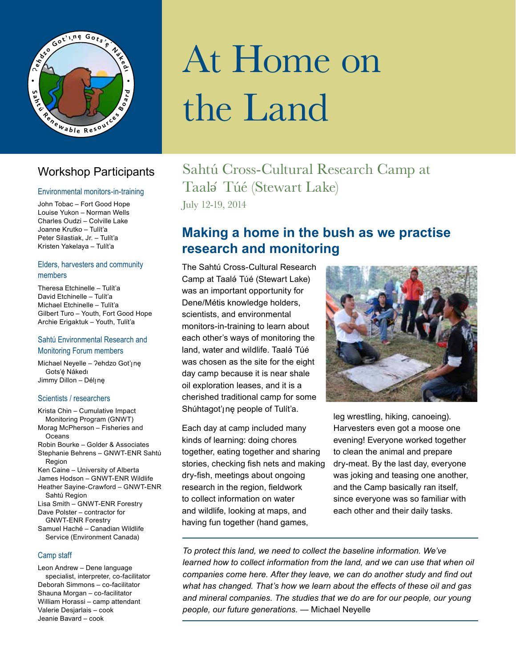

#### Workshop Participants

#### Environmental monitors-in-training

John Tobac – Fort Good Hope Louise Yukon – Norman Wells Charles Oudzi – Colville Lake Joanne Krutko – Tulít'a Peter Silastiak, Jr. – Tulít'a Kristen Yakelaya – Tulít'a

#### Elders, harvesters and community members

Theresa Etchinelle – Tulít'a David Etchinelle – Tulít'a Michael Etchinelle – Tulít'a Gilbert Turo – Youth, Fort Good Hope Archie Erigaktuk – Youth, Tulít'a

#### Sahtú Environmental Research and Monitoring Forum members

Michael Neyelle - ?ehdzo Got'ıne Gots'ę́ Nákedı Jimmy Dillon – Déljne

#### Scientists / researchers

Krista Chin – Cumulative Impact Monitoring Program (GNWT) Morag McPherson – Fisheries and **Oceans** Robin Bourke – Golder & Associates Stephanie Behrens – GNWT-ENR Sahtú Region Ken Caine – University of Alberta James Hodson – GNWT-ENR Wildlife Heather Sayine-Crawford – GNWT-ENR Sahtú Region Lisa Smith – GNWT-ENR Forestry Dave Polster – contractor for GNWT-ENR Forestry Samuel Haché – Canadian Wildlife Service (Environment Canada)

#### Camp staff

Leon Andrew – Dene language specialist, interpreter, co-facilitator Deborah Simmons – co-facilitator Shauna Morgan – co-facilitator William Horassi – camp attendant Valerie Desjarlais – cook Jeanie Bavard – cook

# At Home on the Land

## Sahtú Cross-Cultural Research Camp at Taalǝ ́ Túé (Stewart Lake)

July 12-19, 2014

#### **Making a home in the bush as we practise research and monitoring**

The Sahtú Cross-Cultural Research Camp at Taalǝ́ Túé (Stewart Lake) was an important opportunity for Dene/Métis knowledge holders, scientists, and environmental monitors-in-training to learn about each other's ways of monitoring the land, water and wildlife. Taalé Túé was chosen as the site for the eight day camp because it is near shale oil exploration leases, and it is a cherished traditional camp for some Shúhtagot'<sub>i</sub>ne people of Tulít'a.

Each day at camp included many kinds of learning: doing chores together, eating together and sharing stories, checking fish nets and making dry-fish, meetings about ongoing research in the region, fieldwork to collect information on water and wildlife, looking at maps, and having fun together (hand games,



leg wrestling, hiking, canoeing). Harvesters even got a moose one evening! Everyone worked together to clean the animal and prepare dry-meat. By the last day, everyone was joking and teasing one another, and the Camp basically ran itself, since everyone was so familiar with each other and their daily tasks.

*To protect this land, we need to collect the baseline information. We've learned how to collect information from the land, and we can use that when oil companies come here. After they leave, we can do another study and find out what has changed. That's how we learn about the effects of these oil and gas and mineral companies. The studies that we do are for our people, our young people, our future generations. —* Michael Neyelle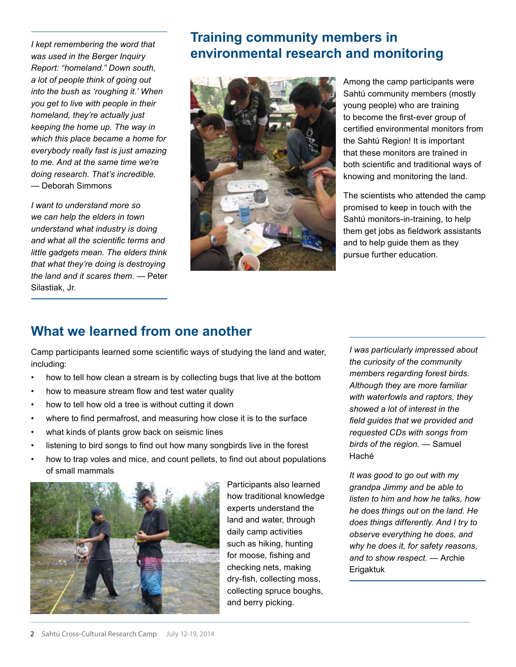*I kept remembering the word that was used in the Berger Inquiry Report: "homeland." Down south, a lot of people think of going out into the bush as 'roughing it.' When you get to live with people in their homeland, they're actually just keeping the home up. The way in which this place became a home for everybody really fast is just amazing to me. And at the same time we're doing research. That's incredible. —* Deborah Simmons

*I want to understand more so we can help the elders in town understand what industry is doing and what all the scientific terms and little gadgets mean. The elders think that what they're doing is destroying the land and it scares them. —* Peter Silastiak, Jr.

## **Training community members in environmental research and monitoring**



Among the camp participants were Sahtú community members (mostly young people) who are training to become the first-ever group of certified environmental monitors from the Sahtú Region! It is important that these monitors are trained in both scientific and traditional ways of knowing and monitoring the land.

The scientists who attended the camp promised to keep in touch with the Sahtú monitors-in-training, to help them get jobs as fieldwork assistants and to help guide them as they pursue further education.

### **What we learned from one another**

Camp participants learned some scientific ways of studying the land and water, including:

- how to tell how clean a stream is by collecting bugs that live at the bottom
- how to measure stream flow and test water quality
- how to tell how old a tree is without cutting it down
- where to find permafrost, and measuring how close it is to the surface
- what kinds of plants grow back on seismic lines
- listening to bird songs to find out how many songbirds live in the forest
- how to trap voles and mice, and count pellets, to find out about populations of small mammals



Participants also learned how traditional knowledge experts understand the land and water, through daily camp activities such as hiking, hunting for moose, fishing and checking nets, making dry-fish, collecting moss, collecting spruce boughs, and berry picking.

*I was particularly impressed about the curiosity of the community members regarding forest birds. Although they are more familiar with waterfowls and raptors, they showed a lot of interest in the field guides that we provided and requested CDs with songs from birds of the region. —* Samuel Haché

*It was good to go out with my grandpa Jimmy and be able to listen to him and how he talks, how he does things out on the land. He does things differently. And I try to observe everything he does, and why he does it, for safety reasons, and to show respect. —* Archie Erigaktuk